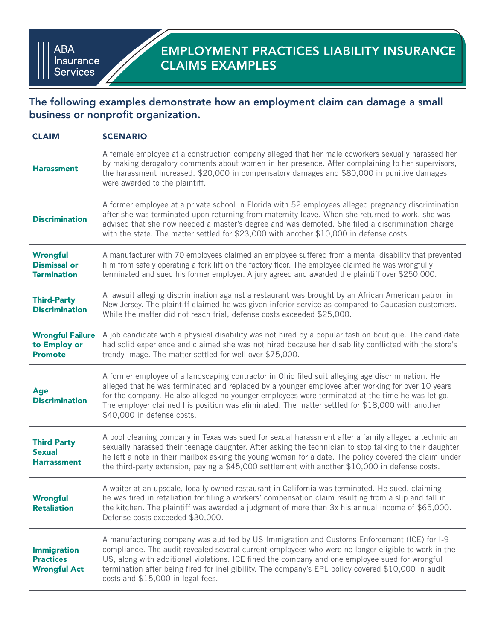## The following examples demonstrate how an employment claim can damage a small business or nonprofit organization.

| <b>CLAIM</b>                                                  | <b>SCENARIO</b>                                                                                                                                                                                                                                                                                                                                                                                                                                  |
|---------------------------------------------------------------|--------------------------------------------------------------------------------------------------------------------------------------------------------------------------------------------------------------------------------------------------------------------------------------------------------------------------------------------------------------------------------------------------------------------------------------------------|
| <b>Harassment</b>                                             | A female employee at a construction company alleged that her male coworkers sexually harassed her<br>by making derogatory comments about women in her presence. After complaining to her supervisors,<br>the harassment increased. \$20,000 in compensatory damages and \$80,000 in punitive damages<br>were awarded to the plaintiff.                                                                                                           |
| <b>Discrimination</b>                                         | A former employee at a private school in Florida with 52 employees alleged pregnancy discrimination<br>after she was terminated upon returning from maternity leave. When she returned to work, she was<br>advised that she now needed a master's degree and was demoted. She filed a discrimination charge<br>with the state. The matter settled for \$23,000 with another \$10,000 in defense costs.                                           |
| <b>Wrongful</b><br><b>Dismissal or</b><br><b>Termination</b>  | A manufacturer with 70 employees claimed an employee suffered from a mental disability that prevented<br>him from safely operating a fork lift on the factory floor. The employee claimed he was wrongfully<br>terminated and sued his former employer. A jury agreed and awarded the plaintiff over \$250,000.                                                                                                                                  |
| <b>Third-Party</b><br><b>Discrimination</b>                   | A lawsuit alleging discrimination against a restaurant was brought by an African American patron in<br>New Jersey. The plaintiff claimed he was given inferior service as compared to Caucasian customers.<br>While the matter did not reach trial, defense costs exceeded \$25,000.                                                                                                                                                             |
| <b>Wrongful Failure</b><br>to Employ or<br><b>Promote</b>     | A job candidate with a physical disability was not hired by a popular fashion boutique. The candidate<br>had solid experience and claimed she was not hired because her disability conflicted with the store's<br>trendy image. The matter settled for well over \$75,000.                                                                                                                                                                       |
| <b>Age</b><br><b>Discrimination</b>                           | A former employee of a landscaping contractor in Ohio filed suit alleging age discrimination. He<br>alleged that he was terminated and replaced by a younger employee after working for over 10 years<br>for the company. He also alleged no younger employees were terminated at the time he was let go.<br>The employer claimed his position was eliminated. The matter settled for \$18,000 with another<br>\$40,000 in defense costs.        |
| <b>Third Party</b><br><b>Sexual</b><br><b>Harrassment</b>     | A pool cleaning company in Texas was sued for sexual harassment after a family alleged a technician<br>sexually harassed their teenage daughter. After asking the technician to stop talking to their daughter,<br>he left a note in their mailbox asking the young woman for a date. The policy covered the claim under<br>the third-party extension, paying a \$45,000 settlement with another \$10,000 in defense costs.                      |
| <b>Wrongful</b><br><b>Retaliation</b>                         | A waiter at an upscale, locally-owned restaurant in California was terminated. He sued, claiming<br>he was fired in retaliation for filing a workers' compensation claim resulting from a slip and fall in<br>the kitchen. The plaintiff was awarded a judgment of more than 3x his annual income of \$65,000.<br>Defense costs exceeded \$30,000.                                                                                               |
| <b>Immigration</b><br><b>Practices</b><br><b>Wrongful Act</b> | A manufacturing company was audited by US Immigration and Customs Enforcement (ICE) for I-9<br>compliance. The audit revealed several current employees who were no longer eligible to work in the<br>US, along with additional violations. ICE fined the company and one employee sued for wrongful<br>termination after being fired for ineligibility. The company's EPL policy covered \$10,000 in audit<br>costs and \$15,000 in legal fees. |